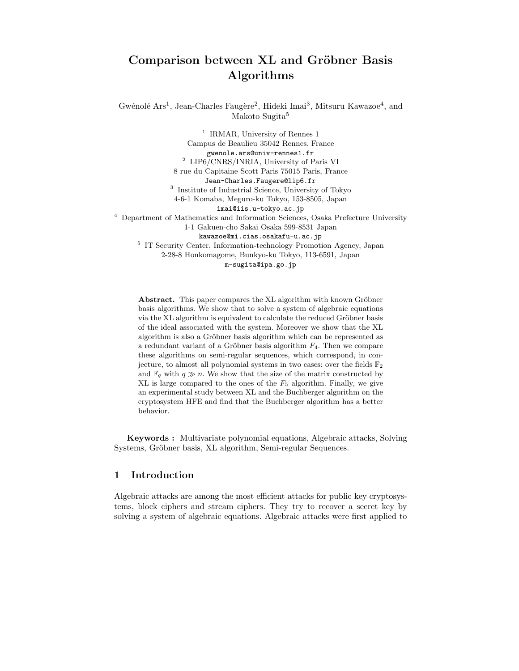# Comparison between XL and Gröbner Basis Algorithms

Gwénolé Ars<sup>1</sup>, Jean-Charles Faugère<sup>2</sup>, Hideki Imai<sup>3</sup>, Mitsuru Kawazoe<sup>4</sup>, and Makoto Sugita<sup>5</sup>

<sup>1</sup> IRMAR, University of Rennes 1 Campus de Beaulieu 35042 Rennes, France gwenole.ars@univ-rennes1.fr <sup>2</sup> LIP6/CNRS/INRIA, University of Paris VI 8 rue du Capitaine Scott Paris 75015 Paris, France Jean-Charles.Faugere@lip6.fr 3 Institute of Industrial Science, University of Tokyo 4-6-1 Komaba, Meguro-ku Tokyo, 153-8505, Japan imai@iis.u-tokyo.ac.jp <sup>4</sup> Department of Mathematics and Information Sciences, Osaka Prefecture University 1-1 Gakuen-cho Sakai Osaka 599-8531 Japan kawazoe@mi.cias.osakafu-u.ac.jp <sup>5</sup> IT Security Center, Information-technology Promotion Agency, Japan 2-28-8 Honkomagome, Bunkyo-ku Tokyo, 113-6591, Japan m-sugita@ipa.go.jp

Abstract. This paper compares the XL algorithm with known Gröbner basis algorithms. We show that to solve a system of algebraic equations via the XL algorithm is equivalent to calculate the reduced Gröbner basis of the ideal associated with the system. Moreover we show that the XL algorithm is also a Gröbner basis algorithm which can be represented as a redundant variant of a Gröbner basis algorithm  $F_4$ . Then we compare these algorithms on semi-regular sequences, which correspond, in conjecture, to almost all polynomial systems in two cases: over the fields  $\mathbb{F}_2$ and  $\mathbb{F}_q$  with  $q \gg n$ . We show that the size of the matrix constructed by  $XL$  is large compared to the ones of the  $F_5$  algorithm. Finally, we give an experimental study between XL and the Buchberger algorithm on the cryptosystem HFE and find that the Buchberger algorithm has a better behavior.

Keywords : Multivariate polynomial equations, Algebraic attacks, Solving Systems, Gröbner basis, XL algorithm, Semi-regular Sequences.

# 1 Introduction

Algebraic attacks are among the most efficient attacks for public key cryptosystems, block ciphers and stream ciphers. They try to recover a secret key by solving a system of algebraic equations. Algebraic attacks were first applied to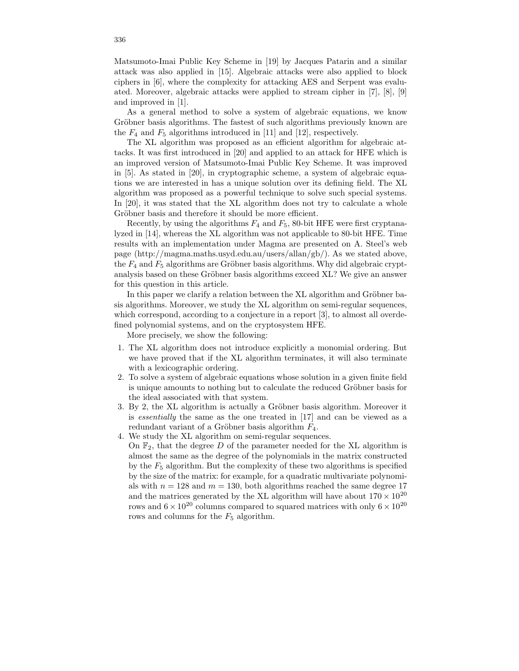Matsumoto-Imai Public Key Scheme in [19] by Jacques Patarin and a similar attack was also applied in [15]. Algebraic attacks were also applied to block ciphers in [6], where the complexity for attacking AES and Serpent was evaluated. Moreover, algebraic attacks were applied to stream cipher in [7], [8], [9] and improved in [1].

As a general method to solve a system of algebraic equations, we know Gröbner basis algorithms. The fastest of such algorithms previously known are the  $F_4$  and  $F_5$  algorithms introduced in [11] and [12], respectively.

The XL algorithm was proposed as an efficient algorithm for algebraic attacks. It was first introduced in [20] and applied to an attack for HFE which is an improved version of Matsumoto-Imai Public Key Scheme. It was improved in [5]. As stated in [20], in cryptographic scheme, a system of algebraic equations we are interested in has a unique solution over its defining field. The XL algorithm was proposed as a powerful technique to solve such special systems. In [20], it was stated that the XL algorithm does not try to calculate a whole Gröbner basis and therefore it should be more efficient.

Recently, by using the algorithms  $F_4$  and  $F_5$ , 80-bit HFE were first cryptanalyzed in [14], whereas the XL algorithm was not applicable to 80-bit HFE. Time results with an implementation under Magma are presented on A. Steel's web page (http://magma.maths.usyd.edu.au/users/allan/gb/). As we stated above, the  $F_4$  and  $F_5$  algorithms are Gröbner basis algorithms. Why did algebraic cryptanalysis based on these Gröbner basis algorithms exceed XL? We give an answer for this question in this article.

In this paper we clarify a relation between the XL algorithm and Gröbner basis algorithms. Moreover, we study the XL algorithm on semi-regular sequences, which correspond, according to a conjecture in a report [3], to almost all overdefined polynomial systems, and on the cryptosystem HFE.

More precisely, we show the following:

- 1. The XL algorithm does not introduce explicitly a monomial ordering. But we have proved that if the XL algorithm terminates, it will also terminate with a lexicographic ordering.
- 2. To solve a system of algebraic equations whose solution in a given finite field is unique amounts to nothing but to calculate the reduced Gröbner basis for the ideal associated with that system.
- 3. By 2, the XL algorithm is actually a Gröbner basis algorithm. Moreover it is essentially the same as the one treated in [17] and can be viewed as a redundant variant of a Gröbner basis algorithm  $F_4$ .
- 4. We study the XL algorithm on semi-regular sequences.
- On  $\mathbb{F}_2$ , that the degree D of the parameter needed for the XL algorithm is almost the same as the degree of the polynomials in the matrix constructed by the  $F_5$  algorithm. But the complexity of these two algorithms is specified by the size of the matrix: for example, for a quadratic multivariate polynomials with  $n = 128$  and  $m = 130$ , both algorithms reached the same degree 17 and the matrices generated by the XL algorithm will have about  $170 \times 10^{20}$ rows and  $6 \times 10^{20}$  columns compared to squared matrices with only  $6 \times 10^{20}$ rows and columns for the  $F_5$  algorithm.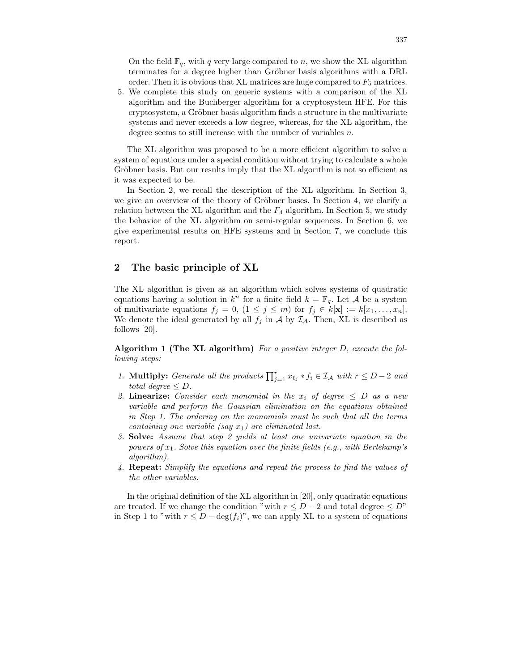On the field  $\mathbb{F}_q$ , with q very large compared to n, we show the XL algorithm terminates for a degree higher than Gröbner basis algorithms with a DRL order. Then it is obvious that XL matrices are huge compared to  $F_5$  matrices.

5. We complete this study on generic systems with a comparison of the XL algorithm and the Buchberger algorithm for a cryptosystem HFE. For this cryptosystem, a Gröbner basis algorithm finds a structure in the multivariate systems and never exceeds a low degree, whereas, for the XL algorithm, the degree seems to still increase with the number of variables n.

The XL algorithm was proposed to be a more efficient algorithm to solve a system of equations under a special condition without trying to calculate a whole Gröbner basis. But our results imply that the XL algorithm is not so efficient as it was expected to be.

In Section 2, we recall the description of the XL algorithm. In Section 3, we give an overview of the theory of Gröbner bases. In Section 4, we clarify a relation between the XL algorithm and the  $F_4$  algorithm. In Section 5, we study the behavior of the XL algorithm on semi-regular sequences. In Section 6, we give experimental results on HFE systems and in Section 7, we conclude this report.

## 2 The basic principle of XL

The XL algorithm is given as an algorithm which solves systems of quadratic equations having a solution in  $k^n$  for a finite field  $k = \mathbb{F}_q$ . Let A be a system of multivariate equations  $f_j = 0$ ,  $(1 \leq j \leq m)$  for  $f_j \in k[\mathbf{x}] := k[x_1, \ldots, x_n]$ . We denote the ideal generated by all  $f_j$  in A by  $\mathcal{I}_A$ . Then, XL is described as follows [20].

Algorithm 1 (The XL algorithm) For a positive integer  $D$ , execute the following steps:

- 1. Multiply: Generate all the products  $\prod_{j=1}^r x_{\ell_j} * f_i \in \mathcal{I}_\mathcal{A}$  with  $r \leq D-2$  and total degree  $\leq D$ .
- 2. Linearize: Consider each monomial in the  $x_i$  of degree  $\leq D$  as a new variable and perform the Gaussian elimination on the equations obtained in Step 1. The ordering on the monomials must be such that all the terms containing one variable (say  $x_1$ ) are eliminated last.
- 3. Solve: Assume that step 2 yields at least one univariate equation in the powers of  $x_1$ . Solve this equation over the finite fields (e.g., with Berlekamp's algorithm).
- 4. Repeat: Simplify the equations and repeat the process to find the values of the other variables.

In the original definition of the XL algorithm in [20], only quadratic equations are treated. If we change the condition "with  $r \leq D-2$  and total degree  $\leq D$ " in Step 1 to "with  $r \leq D - \deg(f_i)$ ", we can apply XL to a system of equations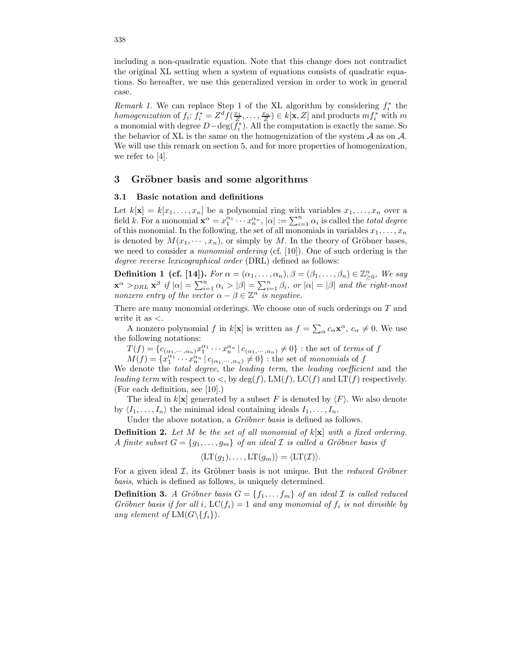including a non-quadratic equation. Note that this change does not contradict the original XL setting when a system of equations consists of quadratic equations. So hereafter, we use this generalized version in order to work in general case.

*Remark 1*. We can replace Step 1 of the XL algorithm by considering  $f_i^*$  the homogenization of  $f_i: f_i^* = Z^d f(\frac{x_1}{Z}, \dots, \frac{x_n}{Z}) \in k[\mathbf{x}, Z]$  and products  $m f_i^*$  with m a monomial with degree  $D-\deg(f_i^*)$ . All the computation is exactly the same. So the behavior of XL is the same on the homogenization of the system  $A$  as on  $A$ . We will use this remark on section 5, and for more properties of homogenization, we refer to [4].

## 3 Gröbner basis and some algorithms

#### 3.1 Basic notation and definitions

Let  $k[\mathbf{x}] = k[x_1, \ldots, x_n]$  be a polynomial ring with variables  $x_1, \ldots, x_n$  over a field k. For a monomial  $\mathbf{x}^{\alpha} = x_1^{\alpha_1} \cdots x_n^{\alpha_n}$ ,  $|\alpha| := \sum_{i=1}^n \alpha_i$  is called the *total degree* of this monomial. In the following, the set of all monomials in variables  $x_1, \ldots, x_n$ is denoted by  $M(x_1, \dots, x_n)$ , or simply by M. In the theory of Gröbner bases, we need to consider a monomial ordering (cf. [10]). One of such ordering is the degree reverse lexicographical order (DRL) defined as follows:

**Definition 1 (cf. [14]).** For  $\alpha = (\alpha_1, \ldots, \alpha_n)$ ,  $\beta = (\beta_1, \ldots, \beta_n) \in \mathbb{Z}_{>0}^n$ , We say ≥0  $\mathbf{x}^{\alpha} >_{DRL} \mathbf{x}^{\beta}$  if  $|\alpha| = \sum_{i=1}^{n} \alpha_i > |\beta| = \sum_{i=1}^{n} \beta_i$ , or  $|\alpha| = |\beta|$  and the right-most nonzero entry of the vector  $\alpha - \beta \in \mathbb{Z}^n$  is negative.

There are many monomial orderings. We choose one of such orderings on T and write it as  $\lt$ .

A nonzero polynomial f in  $k[\mathbf{x}]$  is written as  $f = \sum_{\alpha} c_{\alpha} \mathbf{x}^{\alpha}, c_{\alpha} \neq 0$ . We use the following notations:

 $T(f) = \{c_{(\alpha_1,\cdots,\alpha_n)}x_1^{\alpha_1}\cdots x_n^{\alpha_n} | c_{(\alpha_1,\cdots,\alpha_n)} \neq 0\}$ : the set of terms of f  $M(f) = \{x_1^{\alpha_1} \cdots x_n^{\alpha_n} \mid c_{(\alpha_1,\cdots,\alpha_n)} \neq 0\}$ : the set of monomials of f

We denote the *total degree*, the *leading term*, the *leading coefficient* and the leading term with respect to  $\lt$ , by  $deg(f)$ ,  $LM(f)$ ,  $LC(f)$  and  $LT(f)$  respectively. (For each definition, see [10].)

The ideal in  $k[\mathbf{x}]$  generated by a subset F is denoted by  $\langle F \rangle$ . We also denote by  $\langle I_1, \ldots, I_n \rangle$  the minimal ideal containing ideals  $I_1, \ldots, I_n$ .

Under the above notation, a *Gröbner basis* is defined as follows.

**Definition 2.** Let  $M$  be the set of all monomial of  $k[x]$  with a fixed ordering. A finite subset  $G = \{g_1, \ldots, g_m\}$  of an ideal  $\mathcal I$  is called a Gröbner basis if

$$
\langle \mathrm{LT}(g_1), \ldots, \mathrm{LT}(g_m) \rangle = \langle \mathrm{LT}(\mathcal{I}) \rangle.
$$

For a given ideal  $\mathcal{I}$ , its Gröbner basis is not unique. But the *reduced Gröbner* basis, which is defined as follows, is uniquely determined.

**Definition 3.** A Gröbner basis  $G = \{f_1, \ldots, f_m\}$  of an ideal  $\mathcal I$  is called reduced Gröbner basis if for all i,  $LC(f_i) = 1$  and any monomial of  $f_i$  is not divisible by any element of  $LM(G\{f_i\})$ .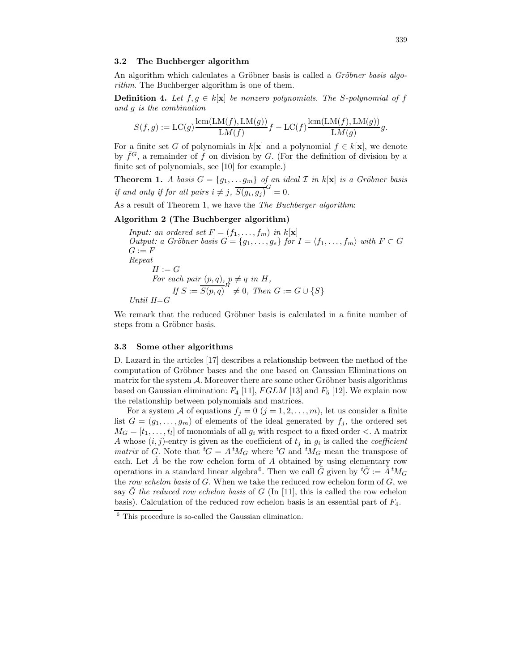#### 3.2 The Buchberger algorithm

An algorithm which calculates a Gröbner basis is called a *Gröbner basis algo*rithm. The Buchberger algorithm is one of them.

**Definition 4.** Let  $f, g \in k[x]$  be nonzero polynomials. The S-polynomial of f and g is the combination

$$
S(f,g) := LC(g) \frac{\operatorname{lcm}(\operatorname{LM}(f), \operatorname{LM}(g))}{\operatorname{LM}(f)} f - LC(f) \frac{\operatorname{lcm}(\operatorname{LM}(f), \operatorname{LM}(g))}{\operatorname{LM}(g)} g.
$$

For a finite set G of polynomials in  $k[\mathbf{x}]$  and a polynomial  $f \in k[\mathbf{x}]$ , we denote by  $\bar{f}^G$ , a remainder of f on division by G. (For the definition of division by a finite set of polynomials, see [10] for example.)

**Theorem 1.** A basis  $G = \{g_1, \ldots g_m\}$  of an ideal  $\mathcal I$  in  $k[\mathbf{x}]$  is a Gröbner basis if and only if for all pairs  $i \neq j$ ,  $\overline{S(g_i, g_j)}^G = 0$ .

As a result of Theorem 1, we have the The Buchberger algorithm:

#### Algorithm 2 (The Buchberger algorithm)

*Input: an ordered set*  $F = (f_1, \ldots, f_m)$  *in*  $k[\mathbf{x}]$ Output: a Gröbner basis  $G = \{g_1, \ldots, g_s\}$  for  $I = \langle f_1, \ldots, f_m \rangle$  with  $F \subset G$  $G := F$ Repeat  $H := G$ For each pair  $(p, q)$ ,  $p \neq q$  in H, If  $S := \overline{S(p,q)}^H \neq 0$ , Then  $G := G \cup \{S\}$ Until  $H = G$ 

We remark that the reduced Gröbner basis is calculated in a finite number of steps from a Gröbner basis.

#### 3.3 Some other algorithms

D. Lazard in the articles [17] describes a relationship between the method of the computation of Gröbner bases and the one based on Gaussian Eliminations on matrix for the system  $\mathcal{A}$ . Moreover there are some other Gröbner basis algorithms based on Gaussian elimination:  $F_4$  [11],  $FGLM$  [13] and  $F_5$  [12]. We explain now the relationship between polynomials and matrices.

For a system A of equations  $f_j = 0$   $(j = 1, 2, ..., m)$ , let us consider a finite list  $G = (g_1, \ldots, g_m)$  of elements of the ideal generated by  $f_j$ , the ordered set  $M_G = [t_1, \ldots, t_l]$  of monomials of all  $g_i$  with respect to a fixed order  $\lt$ . A matrix A whose  $(i, j)$ -entry is given as the coefficient of  $t_j$  in  $g_i$  is called the *coefficient* matrix of G. Note that  ${}^tG = A {}^tM_G$  where  ${}^tG$  and  ${}^tM_G$  mean the transpose of each. Let  $\tilde{A}$  be the row echelon form of  $A$  obtained by using elementary row operations in a standard linear algebra<sup>6</sup>. Then we call  $\tilde{G}$  given by  ${}^t\tilde{G} := \tilde{A} {}^tM_G$ the row echelon basis of  $G$ . When we take the reduced row echelon form of  $G$ , we say G the reduced row echelon basis of G (In [11], this is called the row echelon basis). Calculation of the reduced row echelon basis is an essential part of  $F_4$ .

<sup>6</sup> This procedure is so-called the Gaussian elimination.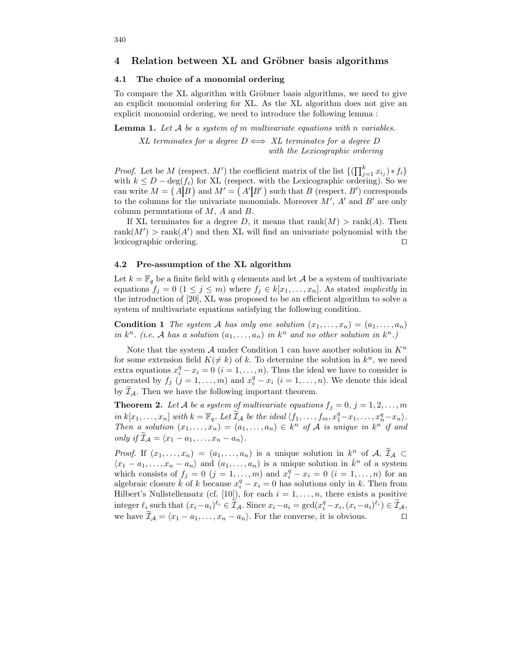## 4 Relation between XL and Gröbner basis algorithms

## 4.1 The choice of a monomial ordering

To compare the XL algorithm with Gröbner basis algorithms, we need to give an explicit monomial ordering for XL. As the XL algorithm does not give an explicit monomial ordering, we need to introduce the following lemma :

**Lemma 1.** Let  $A$  be a system of m multivariate equations with n variables.

XL terminates for a degree  $D \iff XL$  terminates for a degree D with the Lexicographic ordering

*Proof.* Let be M (respect. M') the coefficient matrix of the list  $\{(\prod_{j=1}^{k} x_{i_j}) * f_i\}$ with  $k \leq D - \deg(f_i)$  for XL (respect. with the Lexicographic ordering). So we can write  $M = (A|B)$  and  $M' = (A'|B')$  such that B (respect. B') corresponds to the columns for the univariate monomials. Moreover  $M'$ ,  $A'$  and  $B'$  are only column permutations of  $M$ ,  $A$  and  $B$ .

If XL terminates for a degree D, it means that  $rank(M) > rank(A)$ . Then  $rank(M') > rank(A')$  and then XL will find an univariate polynomial with the lexicographic ordering.  $\Box$ 

#### 4.2 Pre-assumption of the XL algorithm

Let  $k = \mathbb{F}_q$  be a finite field with q elements and let A be a system of multivariate equations  $f_j = 0$   $(1 \leq j \leq m)$  where  $f_j \in k[x_1, \ldots, x_n]$ . As stated *implicitly* in the introduction of [20], XL was proposed to be an efficient algorithm to solve a system of multivariate equations satisfying the following condition.

**Condition 1** The system A has only one solution  $(x_1, \ldots, x_n) = (a_1, \ldots, a_n)$ in  $k^n$ . (i.e. A has a solution  $(a_1, \ldots, a_n)$  in  $k^n$  and no other solution in  $k^n$ .)

Note that the system  $A$  under Condition 1 can have another solution in  $K<sup>n</sup>$ for some extension field  $K(\neq k)$  of k. To determine the solution in  $k^{n}$ , we need extra equations  $x_i^q - x_i = 0$   $(i = 1, ..., n)$ . Thus the ideal we have to consider is generated by  $f_j$   $(j = 1, ..., m)$  and  $x_i^q - x_i$   $(i = 1, ..., n)$ . We denote this ideal by  $\mathcal{I}_{\mathcal{A}}$ . Then we have the following important theorem.

**Theorem 2.** Let A be a system of multivariate equations  $f_j = 0, j = 1, 2, \ldots, m$ in  $k[x_1, \ldots, x_n]$  with  $k = \mathbb{F}_q$ . Let  $\widetilde{\mathcal{I}}_{\mathcal{A}}$  be the ideal  $\langle f_1, \ldots, f_m, x_1^q - x_1, \ldots, x_n^q - x_n \rangle$ . Then a solution  $(x_1, \ldots, x_n) = (a_1, \ldots, a_n) \in k^n$  of A is unique in  $k^n$  if and only if  $\widetilde{\mathcal{I}}_{\mathcal{A}} = \langle x_1 - a_1, \ldots, x_n - a_n \rangle$ .

*Proof.* If  $(x_1, \ldots, x_n) = (a_1, \ldots, a_n)$  is a unique solution in  $k^n$  of  $\mathcal{A}, \mathcal{I}_{\mathcal{A}} \subset$  $\langle x_1 - a_1, \ldots, x_n - a_n \rangle$  and  $(a_1, \ldots, a_n)$  is a unique solution in  $\bar{k}^n$  of a system which consists of  $f_j = 0$   $(j = 1, ..., m)$  and  $x_i^q - x_i = 0$   $(i = 1, ..., n)$  for an algebraic closure  $\vec{k}$  of k because  $x_i^q - x_i = 0$  has solutions only in k. Then from Hilbert's Nullstellensatz (cf. [10]), for each  $i = 1, \ldots, n$ , there exists a positive integer  $\ell_i$  such that  $(x_i - a_i)^{\ell_i} \in \widetilde{\mathcal{I}}_{\mathcal{A}}$ . Since  $x_i - a_i = \gcd(x_i^q - x_i, (x_i - a_i)^{\ell_i}) \in \widetilde{\mathcal{I}}_{\mathcal{A}}$ , we have  $\widetilde{\mathcal{I}}_{\mathcal{A}} = \langle x_1 - a_1, \ldots, x_n - a_n \rangle$ . For the converse, it is obvious.  $\Box$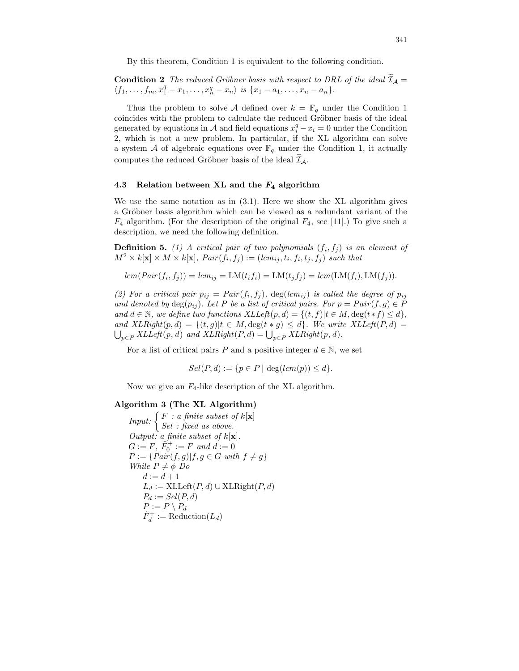By this theorem, Condition 1 is equivalent to the following condition.

**Condition 2** The reduced Gröbner basis with respect to DRL of the ideal  $\widetilde{\mathcal{I}}_{\mathcal{A}} =$  $\langle f_1, \ldots, f_m, x_1^q - x_1, \ldots, x_n^q - x_n \rangle$  is  $\{x_1 - a_1, \ldots, x_n - a_n\}.$ 

Thus the problem to solve A defined over  $k = \mathbb{F}_q$  under the Condition 1 coincides with the problem to calculate the reduced Gröbner basis of the ideal generated by equations in A and field equations  $x_i^q - x_i = 0$  under the Condition 2, which is not a new problem. In particular, if the XL algorithm can solve a system A of algebraic equations over  $\mathbb{F}_q$  under the Condition 1, it actually computes the reduced Gröbner basis of the ideal  $\mathcal{I}_{A}$ .

#### 4.3 Relation between XL and the  $F_4$  algorithm

We use the same notation as in (3.1). Here we show the XL algorithm gives a Gröbner basis algorithm which can be viewed as a redundant variant of the  $F_4$  algorithm. (For the description of the original  $F_4$ , see [11].) To give such a description, we need the following definition.

**Definition 5.** (1) A critical pair of two polynomials  $(f_i, f_j)$  is an element of  $M^2 \times k[\mathbf{x}] \times M \times k[\mathbf{x}]$ ,  $Pair(f_i, f_j) := (lcm_{ij}, t_i, f_i, t_j, f_j)$  such that

$$
lcm(Pair(f_i, f_j)) = lcm_{ij} = LM(t_i f_i) = LM(t_j f_j) = lcm(LM(f_i), LM(f_j)).
$$

(2) For a critical pair  $p_{ij} = Pair(f_i, f_j)$ ,  $deg(lcm_{ij})$  is called the degree of  $p_{ij}$ and denoted by  $\deg(p_{ij})$ . Let P be a list of critical pairs. For  $p = Pair(f, g) \in P$ and  $d \in \mathbb{N}$ , we define two functions  $XLLeft(p, d) = \{(t, f)|t \in M, \deg(t * f) \leq d\},\$ and  $XLRight(p, d) = \{(t, g)|t \in M, \deg(t * g) \leq d\}$ . We write  $XLLeft(P, d)$  $p \in P$  XLLeft(p, d) and XLRight(P, d) =  $\bigcup_{p \in P}$  XLRight(p, d).

For a list of critical pairs P and a positive integer  $d \in \mathbb{N}$ , we set

$$
Sel(P, d) := \{ p \in P \mid \deg(lcm(p)) \leq d \}.
$$

Now we give an  $F_4$ -like description of the XL algorithm.

## Algorithm 3 (The XL Algorithm)

Input:  $\left\{ \begin{array}{c} F : a \text{ finite subset of } k[\mathbf{x}] \\ \text{gcd } s \text{ and } a \text{ above} \end{array} \right.$ Sel : fixed as above. Output: a finite subset of  $k[\mathbf{x}]$ .  $G := F, \, \tilde{F}_0^+ := F \, \text{ and } d := 0$  $P := \{Pair(f, g) | f, g \in G \text{ with } f \neq g \}$ While  $P \neq \phi$  Do  $d := d + 1$  $L_d := \text{XLLeft}(P, d) \cup \text{XLRight}(P, d)$  $P_d := Sel(P, d)$  $P := P \setminus P_d$  $\tilde{F}_d^+ := \text{Reduction}(L_d)$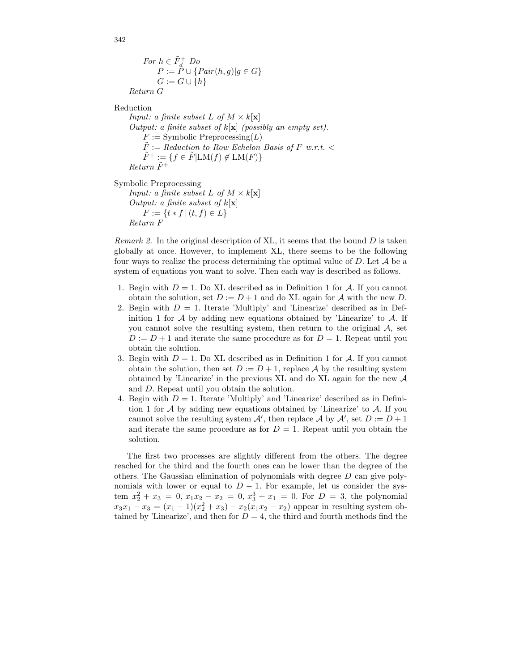```
For h \in \tilde{F}_d^+ Do
P := P \cup \{Pair(h, g) | g \in G\}G := G \cup \{h\}Return G
```
Reduction

Return F

*Input: a finite subset L of M*  $\times$  k[**x**] Output: a finite subset of  $k[x]$  (possibly an empty set).  $F := \text{Symbolic Preprocessing}(L)$  $F := \mathit{Reduction}$  to Row Echelon Basis of F w.r.t.  $\lt$  $\tilde{F}^+ := \{ f \in \tilde{F} | \mathrm{LM}(f) \notin \mathrm{LM}(F) \}$  $Return \tilde{F}^+$ Symbolic Preprocessing Input: a finite subset L of  $M \times k[x]$ Output: a finite subset of  $k[\mathbf{x}]$  $F := \{t * f \mid (t, f) \in L\}$ 

*Remark 2.* In the original description of XL, it seems that the bound  $D$  is taken globally at once. However, to implement XL, there seems to be the following four ways to realize the process determining the optimal value of  $D$ . Let  $\mathcal A$  be a system of equations you want to solve. Then each way is described as follows.

- 1. Begin with  $D = 1$ . Do XL described as in Definition 1 for A. If you cannot obtain the solution, set  $D := D + 1$  and do XL again for A with the new D.
- 2. Begin with  $D = 1$ . Iterate 'Multiply' and 'Linearize' described as in Definition 1 for  $A$  by adding new equations obtained by 'Linearize' to  $A$ . If you cannot solve the resulting system, then return to the original  $A$ , set  $D := D + 1$  and iterate the same procedure as for  $D = 1$ . Repeat until you obtain the solution.
- 3. Begin with  $D = 1$ . Do XL described as in Definition 1 for A. If you cannot obtain the solution, then set  $D := D + 1$ , replace A by the resulting system obtained by 'Linearize' in the previous XL and do XL again for the new A and D. Repeat until you obtain the solution.
- 4. Begin with  $D = 1$ . Iterate 'Multiply' and 'Linearize' described as in Definition 1 for  $\mathcal A$  by adding new equations obtained by 'Linearize' to  $\mathcal A$ . If you cannot solve the resulting system  $\mathcal{A}'$ , then replace  $\mathcal{A}$  by  $\mathcal{A}'$ , set  $D := D + 1$ and iterate the same procedure as for  $D = 1$ . Repeat until you obtain the solution.

The first two processes are slightly different from the others. The degree reached for the third and the fourth ones can be lower than the degree of the others. The Gaussian elimination of polynomials with degree  $D$  can give polynomials with lower or equal to  $D-1$ . For example, let us consider the system  $x_2^2 + x_3 = 0, x_1x_2 - x_2 = 0, x_3^3 + x_1 = 0$ . For  $D = 3$ , the polynomial  $x_3x_1 - x_3 = (x_1 - 1)(x_2^2 + x_3) - x_2(x_1x_2 - x_2)$  appear in resulting system obtained by 'Linearize', and then for  $D = 4$ , the third and fourth methods find the

342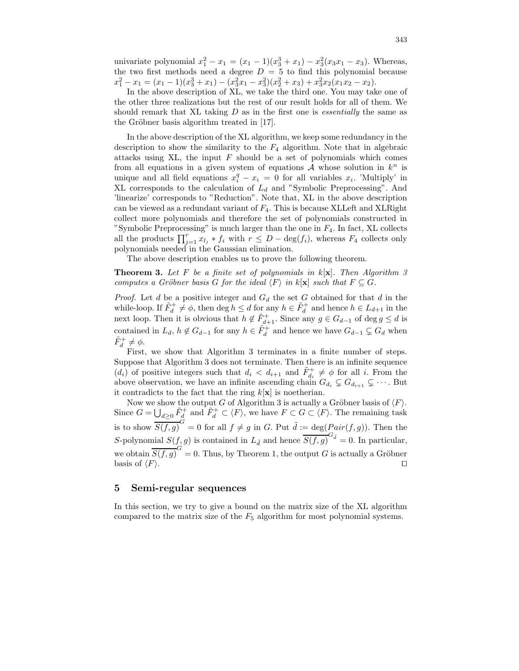univariate polynomial  $x_1^2 - x_1 = (x_1 - 1)(x_3^3 + x_1) - x_3^2(x_3x_1 - x_3)$ . Whereas, the two first methods need a degree  $D = 5$  to find this polynomial because  $x_1^2 - x_1 = (x_1 - 1)(x_3^3 + x_1) - (x_3^2x_1 - x_3^2)(x_2^2 + x_3) + x_3^2x_2(x_1x_2 - x_2).$ 

In the above description of XL, we take the third one. You may take one of the other three realizations but the rest of our result holds for all of them. We should remark that XL taking  $D$  as in the first one is *essentially* the same as the Gröbner basis algorithm treated in [17].

In the above description of the XL algorithm, we keep some redundancy in the description to show the similarity to the  $F_4$  algorithm. Note that in algebraic attacks using  $XL$ , the input  $F$  should be a set of polynomials which comes from all equations in a given system of equations  $A$  whose solution in  $k^n$  is unique and all field equations  $x_i^q - x_i = 0$  for all variables  $x_i$ . 'Multiply' in XL corresponds to the calculation of  $L_d$  and "Symbolic Preprocessing". And 'linearize' corresponds to "Reduction". Note that, XL in the above description can be viewed as a redundant variant of  $F_4$ . This is because XLLeft and XLRight collect more polynomials and therefore the set of polynomials constructed in "Symbolic Preprocessing" is much larger than the one in  $F_4$ . In fact, XL collects all the products  $\prod_{j=1}^r x_{l_j} * f_i$  with  $r \leq D - \deg(f_i)$ , whereas  $F_4$  collects only polynomials needed in the Gaussian elimination.

The above description enables us to prove the following theorem.

**Theorem 3.** Let F be a finite set of polynomials in  $k[x]$ . Then Algorithm 3 computes a Gröbner basis G for the ideal  $\langle F \rangle$  in  $k[\mathbf{x}]$  such that  $F \subseteq G$ .

*Proof.* Let d be a positive integer and  $G_d$  the set G obtained for that d in the while-loop. If  $\tilde{F}_d^+ \neq \phi$ , then  $\deg h \leq d$  for any  $h \in \tilde{F}_d^+$  and hence  $h \in L_{d+1}$  in the next loop. Then it is obvious that  $h \notin \tilde{F}_{d+1}^+$ . Since any  $g \in G_{d-1}$  of  $\deg g \le d$  is contained in  $L_d$ ,  $h \notin G_{d-1}$  for any  $h \in \tilde{F}_d^+$  and hence we have  $G_{d-1} \subsetneq G_d$  when  $\tilde{F}_d^+ \neq \phi$ .

First, we show that Algorithm 3 terminates in a finite number of steps. Suppose that Algorithm 3 does not terminate. Then there is an infinite sequence  $(d_i)$  of positive integers such that  $d_i < d_{i+1}$  and  $\tilde{F}^+_{d_i} \neq \phi$  for all i. From the above observation, we have an infinite ascending chain  $G_{d_i} \subsetneq G_{d_{i+1}} \subsetneq \cdots$ . But it contradicts to the fact that the ring  $k[x]$  is noetherian.

Now we show the output G of Algorithm 3 is actually a Gröbner basis of  $\langle F \rangle$ . Since  $G = \bigcup_{d \geq 0} \tilde{F}_d^+$  and  $\tilde{F}_d^+ \subset \langle F \rangle$ , we have  $F \subset G \subset \langle F \rangle$ . The remaining task is to show  $\overline{S(f,g)}^G = 0$  for all  $f \neq g$  in G. Put  $\tilde{d} := \deg(Pair(f,g))$ . Then the S-polynomial  $S(f, g)$  is contained in  $L_{\tilde{d}}$  and hence  $\overline{S(f, g)}^{G_{\tilde{d}}}=0$ . In particular, we obtain  $\overline{S(f,g)}^G = 0$ . Thus, by Theorem 1, the output G is actually a Gröbner basis of  $\langle F \rangle$ .

## 5 Semi-regular sequences

In this section, we try to give a bound on the matrix size of the XL algorithm compared to the matrix size of the  $F_5$  algorithm for most polynomial systems.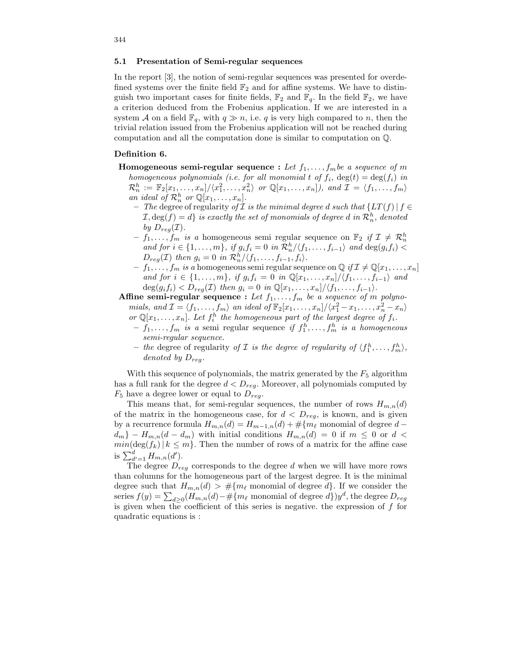#### 5.1 Presentation of Semi-regular sequences

In the report [3], the notion of semi-regular sequences was presented for overdefined systems over the finite field  $\mathbb{F}_2$  and for affine systems. We have to distinguish two important cases for finite fields,  $\mathbb{F}_2$  and  $\mathbb{F}_q$ . In the field  $\mathbb{F}_2$ , we have a criterion deduced from the Frobenius application. If we are interested in a system A on a field  $\mathbb{F}_q$ , with  $q \gg n$ , i.e. q is very high compared to n, then the trivial relation issued from the Frobenius application will not be reached during computation and all the computation done is similar to computation on Q.

#### Definition 6.

- **Homogeneous semi-regular sequence :** Let  $f_1, \ldots, f_m$  be a sequence of m homogeneous polynomials (i.e. for all monomial t of  $f_i$ ,  $deg(t) = deg(f_i)$  in  $\mathcal{R}_n^h := \mathbb{F}_2[x_1,\ldots,x_n]/\langle x_1^2,\ldots,x_n^2\rangle$  or  $\mathbb{Q}[x_1,\ldots,x_n]$ ), and  $\mathcal{I} = \langle f_1,\ldots,f_m\rangle$ an ideal of  $\mathcal{R}_n^h$  or  $\mathbb{Q}[x_1,\ldots,x_n]$ .
	- The degree of regularity of  $\mathcal I$  is the minimal degree d such that {LT(f) | f ∈  $\mathcal{I}, \deg(f) = d\}$  is exactly the set of monomials of degree d in  $\mathcal{R}_n^h$ , denoted by  $D_{req}(\mathcal{I}).$
	- $-f_1, \ldots, f_m$  is a homogeneous semi-regular sequence on  $\mathbb{F}_2$  if  $\mathcal{I} \neq \mathcal{R}_n^h$ and for  $i \in \{1, \ldots, m\}$ , if  $g_i f_i = 0$  in  $\mathcal{R}_n^h / \langle f_1, \ldots, f_{i-1} \rangle$  and  $\deg(g_i f_i)$  $D_{reg}(\mathcal{I})$  then  $g_i = 0$  in  $\mathcal{R}_n^h / \langle f_1, \ldots, f_{i-1}, f_i \rangle$ .
	- $f_1, \ldots, f_m$  is a homogeneous semi regular sequence on  $\mathbb{Q}$  if  $\mathcal{I} \neq \mathbb{Q}[x_1, \ldots, x_n]$ and for  $i \in \{1, \ldots, m\}$ , if  $g_i f_i = 0$  in  $\mathbb{Q}[x_1, \ldots, x_n]/\langle f_1, \ldots, f_{i-1}\rangle$  and  $\deg(g_i f_i) < D_{reg}(\mathcal{I})$  then  $g_i = 0$  in  $\mathbb{Q}[x_1, \ldots, x_n]/\langle f_1, \ldots, f_{i-1} \rangle$ .

Affine semi-regular sequence : Let  $f_1, \ldots, f_m$  be a sequence of m polynomials, and  $\mathcal{I} = \langle f_1, \ldots, f_m \rangle$  an ideal of  $\mathbb{F}_2[x_1, \ldots, x_n]/\langle x_1^2 - x_1, \ldots, x_n^2 - x_n \rangle$ 

- or  $\mathbb{Q}[x_1,\ldots,x_n]$ . Let  $f_i^h$  the homogeneous part of the largest degree of  $f_i$ .  $-f_1, \ldots, f_m$  is a semi-regular sequence if  $f_1^h, \ldots, f_m^h$  is a homogeneous semi-regular sequence.
- the degree of regularity of  $\mathcal I$  is the degree of regularity of  $\langle f_1^h, \ldots, f_m^h \rangle$ , denoted by  $D_{rea}.$

With this sequence of polynomials, the matrix generated by the  $F_5$  algorithm has a full rank for the degree  $d < D_{req}$ . Moreover, all polynomials computed by  $F_5$  have a degree lower or equal to  $D_{reg}$ .

This means that, for semi-regular sequences, the number of rows  $H_{m,n}(d)$ of the matrix in the homogeneous case, for  $d < D_{reg}$ , is known, and is given by a recurrence formula  $H_{m,n}(d) = H_{m-1,n}(d) + \#\{m_\ell \text{ monomial of degree } d - \ell\}$  $d_m$ } –  $H_{m,n}(d - d_m)$  with initial conditions  $H_{m,n}(d) = 0$  if  $m \leq 0$  or  $d <$  $min(\deg(f_k) | k \leq m$ . Then the number of rows of a matrix for the affine case is  $\sum_{d'=1}^{d} H_{m,n}(d')$ .

The degree  $D_{req}$  corresponds to the degree d when we will have more rows than columns for the homogeneous part of the largest degree. It is the minimal degree such that  $H_{m,n}(d) > #{m_\ell \text{ monomial of degree } d}$ . If we consider the series  $f(y) = \sum_{d\geq 0} (H_{m,n}(d) - \# \{m_\ell \text{ monomial of degree } d\}) y^d$ , the degree  $D_{reg}$ is given when the coefficient of this series is negative. the expression of  $f$  for quadratic equations is :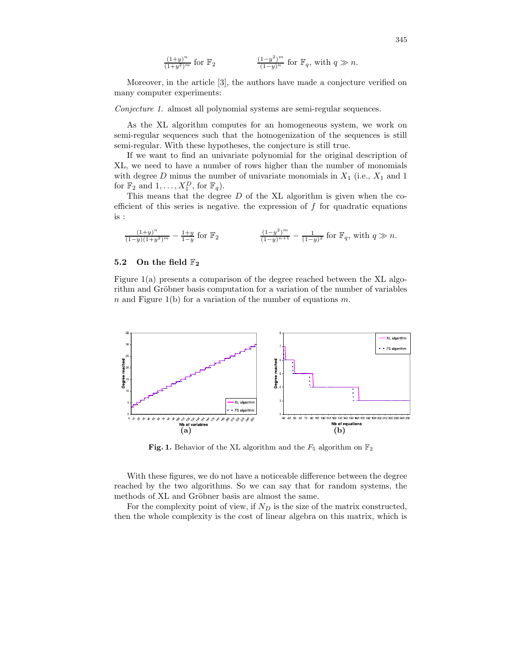$$
\frac{(1+y)^n}{(1+y^2)^m} \text{ for } \mathbb{F}_2 \qquad \qquad \frac{(1-y^2)^m}{(1-y)^n} \text{ for } \mathbb{F}_q \text{, with } q \gg n.
$$

Moreover, in the article [3], the authors have made a conjecture verified on many computer experiments:

Conjecture 1. almost all polynomial systems are semi-regular sequences.

As the XL algorithm computes for an homogeneous system, we work on semi-regular sequences such that the homogenization of the sequences is still semi-regular. With these hypotheses, the conjecture is still true.

If we want to find an univariate polynomial for the original description of XL, we need to have a number of rows higher than the number of monomials with degree  $D$  minus the number of univariate monomials in  $X_1$  (i.e.,  $X_1$  and 1 for  $\mathbb{F}_2$  and  $1, \ldots, X_1^D$ , for  $\mathbb{F}_q$ ).

This means that the degree  $D$  of the XL algorithm is given when the coefficient of this series is negative. the expression of  $f$  for quadratic equations is :

$$
\frac{(1+y)^n}{(1-y)(1+y^2)^m} - \frac{1+y}{1-y} \text{ for } \mathbb{F}_2 \qquad \qquad \frac{(1-y^2)^m}{(1-y)^{n+1}} - \frac{1}{(1-y)^2} \text{ for } \mathbb{F}_q \text{, with } q \gg n.
$$

#### 5.2 On the field  $\mathbb{F}_2$

Figure 1(a) presents a comparison of the degree reached between the XL algorithm and Gröbner basis computation for a variation of the number of variables n and Figure 1(b) for a variation of the number of equations m.



Fig. 1. Behavior of the XL algorithm and the  $F_5$  algorithm on  $\mathbb{F}_2$ 

With these figures, we do not have a noticeable difference between the degree reached by the two algorithms. So we can say that for random systems, the methods of XL and Gröbner basis are almost the same.

For the complexity point of view, if  $N_D$  is the size of the matrix constructed, then the whole complexity is the cost of linear algebra on this matrix, which is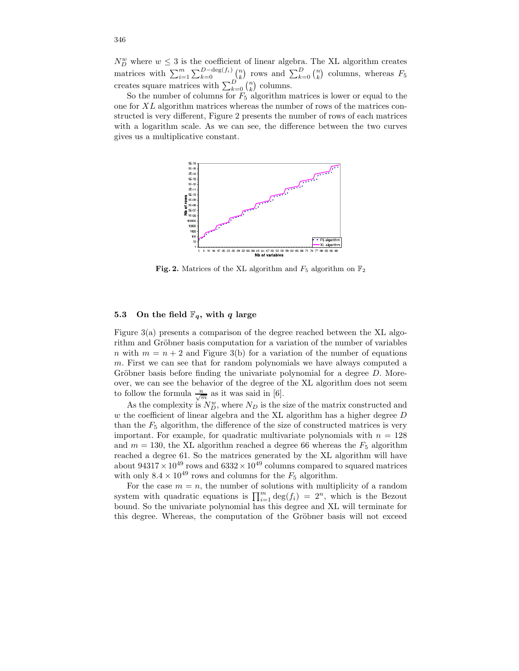$N_D^w$  where  $w \leq 3$  is the coefficient of linear algebra. The XL algorithm creates matrices with  $\sum_{i=1}^{m} \sum_{k=0}^{D-\deg(f_i)} \binom{n}{k}$  rows and  $\sum_{k=0}^{D} \binom{n}{k}$  columns, whereas  $F_5$ creates square matrices with  $\sum_{k=0}^{D} \binom{n}{k}$  columns.

So the number of columns for  $F_5$  algorithm matrices is lower or equal to the one for XL algorithm matrices whereas the number of rows of the matrices constructed is very different, Figure 2 presents the number of rows of each matrices with a logarithm scale. As we can see, the difference between the two curves gives us a multiplicative constant.



Fig. 2. Matrices of the XL algorithm and  $F_5$  algorithm on  $\mathbb{F}_2$ 

#### 5.3 On the field  $\mathbb{F}_q$ , with q large

Figure 3(a) presents a comparison of the degree reached between the XL algorithm and Gröbner basis computation for a variation of the number of variables n with  $m = n + 2$  and Figure 3(b) for a variation of the number of equations m. First we can see that for random polynomials we have always computed a Gröbner basis before finding the univariate polynomial for a degree  $D$ . Moreover, we can see the behavior of the degree of the XL algorithm does not seem to follow the formula  $\frac{n}{\sqrt{m}}$  as it was said in [6].

As the complexity is  $N_D^w$ , where  $N_D$  is the size of the matrix constructed and  $w$  the coefficient of linear algebra and the XL algorithm has a higher degree  $D$ than the  $F_5$  algorithm, the difference of the size of constructed matrices is very important. For example, for quadratic multivariate polynomials with  $n = 128$ and  $m = 130$ , the XL algorithm reached a degree 66 whereas the  $F_5$  algorithm reached a degree 61. So the matrices generated by the XL algorithm will have about  $94317 \times 10^{49}$  rows and  $6332 \times 10^{49}$  columns compared to squared matrices with only  $8.4 \times 10^{49}$  rows and columns for the  $F_5$  algorithm.

For the case  $m = n$ , the number of solutions with multiplicity of a random system with quadratic equations is  $\prod_{i=1}^{m} \deg(f_i) = 2^n$ , which is the Bezout bound. So the univariate polynomial has this degree and XL will terminate for this degree. Whereas, the computation of the Gröbner basis will not exceed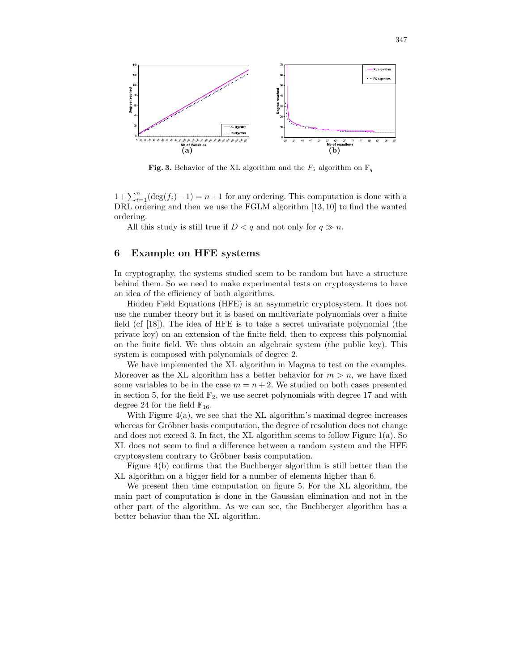

Fig. 3. Behavior of the XL algorithm and the  $F_5$  algorithm on  $\mathbb{F}_q$ 

 $1+\sum_{i=1}^{n}(\deg(f_i)-1)=n+1$  for any ordering. This computation is done with a DRL ordering and then we use the FGLM algorithm [13, 10] to find the wanted ordering.

All this study is still true if  $D < q$  and not only for  $q \gg n$ .

#### 6 Example on HFE systems

In cryptography, the systems studied seem to be random but have a structure behind them. So we need to make experimental tests on cryptosystems to have an idea of the efficiency of both algorithms.

Hidden Field Equations (HFE) is an asymmetric cryptosystem. It does not use the number theory but it is based on multivariate polynomials over a finite field (cf [18]). The idea of HFE is to take a secret univariate polynomial (the private key) on an extension of the finite field, then to express this polynomial on the finite field. We thus obtain an algebraic system (the public key). This system is composed with polynomials of degree 2.

We have implemented the XL algorithm in Magma to test on the examples. Moreover as the XL algorithm has a better behavior for  $m > n$ , we have fixed some variables to be in the case  $m = n + 2$ . We studied on both cases presented in section 5, for the field  $\mathbb{F}_2$ , we use secret polynomials with degree 17 and with degree 24 for the field  $\mathbb{F}_{16}$ .

With Figure  $4(a)$ , we see that the XL algorithm's maximal degree increases whereas for Gröbner basis computation, the degree of resolution does not change and does not exceed 3. In fact, the XL algorithm seems to follow Figure 1(a). So XL does not seem to find a difference between a random system and the HFE cryptosystem contrary to Gröbner basis computation.

Figure 4(b) confirms that the Buchberger algorithm is still better than the XL algorithm on a bigger field for a number of elements higher than 6.

We present then time computation on figure 5. For the XL algorithm, the main part of computation is done in the Gaussian elimination and not in the other part of the algorithm. As we can see, the Buchberger algorithm has a better behavior than the XL algorithm.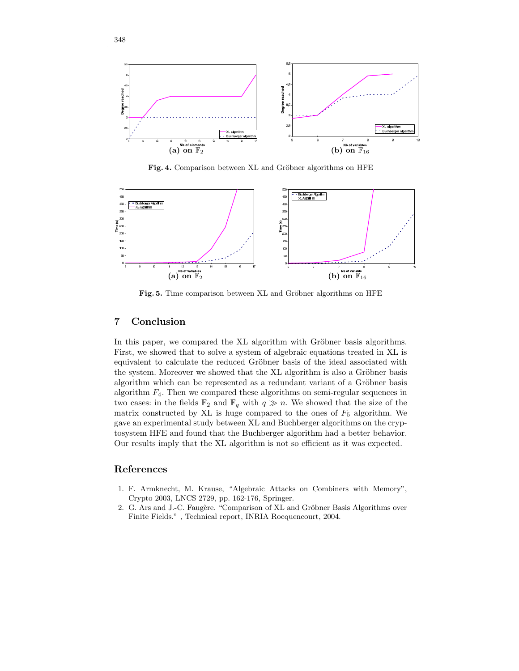

Fig. 4. Comparison between XL and Gröbner algorithms on HFE



Fig. 5. Time comparison between XL and Gröbner algorithms on HFE

## 7 Conclusion

In this paper, we compared the XL algorithm with Gröbner basis algorithms. First, we showed that to solve a system of algebraic equations treated in XL is equivalent to calculate the reduced Gröbner basis of the ideal associated with the system. Moreover we showed that the XL algorithm is also a Gröbner basis algorithm which can be represented as a redundant variant of a Gröbner basis algorithm  $F_4$ . Then we compared these algorithms on semi-regular sequences in two cases: in the fields  $\mathbb{F}_2$  and  $\mathbb{F}_q$  with  $q \gg n$ . We showed that the size of the matrix constructed by XL is huge compared to the ones of  $F_5$  algorithm. We gave an experimental study between XL and Buchberger algorithms on the cryptosystem HFE and found that the Buchberger algorithm had a better behavior. Our results imply that the XL algorithm is not so efficient as it was expected.

## References

- 1. F. Armknecht, M. Krause, "Algebraic Attacks on Combiners with Memory", Crypto 2003, LNCS 2729, pp. 162-176, Springer.
- 2. G. Ars and J.-C. Faugère. "Comparison of XL and Gröbner Basis Algorithms over Finite Fields." , Technical report, INRIA Rocquencourt, 2004.